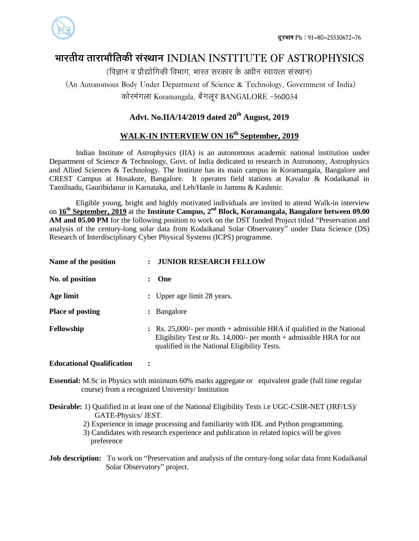

# **ØððÜÃðóÚð ÃððÜðØððøòÃð¨îó çðüçÆððÐð INDIAN INSTITUTE OF ASTROPHYSICS**

 $\delta$  (विज्ञान व प्रौद्योगिकी विभाग, भारत सरकार के अधीन स्वायत्त संस्थान)

(An Autonomous Body Under Department of Science & Technology, Government of India) कोरमंगला Koramangala, बेंगलूर BANGALORE -560034

### **Advt. No.IIA/14/2019 dated 20th August, 2019**

## **WALK-IN INTERVIEW ON 16th September, 2019**

Indian Institute of Astrophysics (IIA) is an autonomous academic national institution under Department of Science & Technology, Govt. of India dedicated to research in Astronomy, Astrophysics and Allied Sciences & Technology. The Institute has its main campus in Koramangala, Bangalore and CREST Campus at Hosakote, Bangalore. It operates field stations at Kavalur & Kodaikanal in Tamilnadu, Gauribidanur in Karnataka, and Leh/Hanle in Jammu & Kashmir.

Eligible young, bright and highly motivated individuals are invited to attend Walk-in interview on **16 th September, 2019** at the **Institute Campus, 2nd Block, Koramangala, Bangalore between 09.00 AM and 05.00 PM** for the following position to work on the DST funded Project titled "Preservation and analysis of the century-long solar data from Kodaikanal Solar Observatory" under Data Science (DS) Research of Interdisciplinary Cyber Physical Systems (ICPS) programme.

| Name of the position    | <b>JUNIOR RESEARCH FELLOW</b>                                                                                                                                                                              |
|-------------------------|------------------------------------------------------------------------------------------------------------------------------------------------------------------------------------------------------------|
| No. of position         | One                                                                                                                                                                                                        |
| Age limit               | : Upper age limit 28 years.                                                                                                                                                                                |
| <b>Place of posting</b> | : Bangalore                                                                                                                                                                                                |
| Fellowship              | $\therefore$ Rs. 25,000/- per month + admissible HRA if qualified in the National<br>Eligibility Test or Rs. 14,000/- per month $+$ admissible HRA for not<br>qualified in the National Eligibility Tests. |

#### **Educational Qualification :**

- **Essential:** M.Sc in Physics with minimum 60% marks aggregate or equivalent grade (full time regular course) from a recognized University/ Institution
- **Desirable:** 1) Qualified in at least one of the National Eligibility Tests i.e UGC-CSIR-NET (JRF/LS)/ GATE-Physics/ JEST.
	- 2) Experience in image processing and familiarity with IDL and Python programming.
	- 3) Candidates with research experience and publication in related topics will be given preference
- **Job description:** To work on "Preservation and analysis of the century-long solar data from Kodaikanal Solar Observatory" project.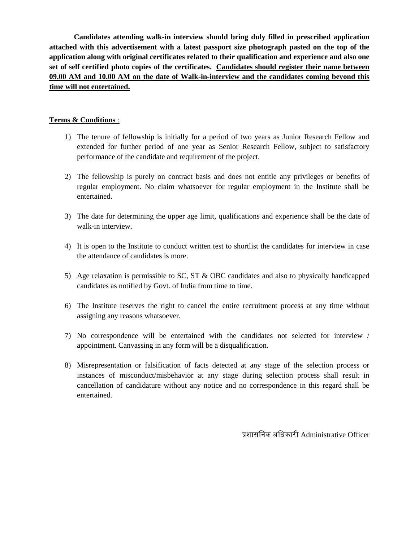**Candidates attending walk-in interview should bring duly filled in prescribed application attached with this advertisement with a latest passport size photograph pasted on the top of the application along with original certificates related to their qualification and experience and also one set of self certified photo copies of the certificates. Candidates should register their name between 09.00 AM and 10.00 AM on the date of Walk-in-interview and the candidates coming beyond this time will not entertained.** 

#### **Terms & Conditions** :

- 1) The tenure of fellowship is initially for a period of two years as Junior Research Fellow and extended for further period of one year as Senior Research Fellow, subject to satisfactory performance of the candidate and requirement of the project.
- 2) The fellowship is purely on contract basis and does not entitle any privileges or benefits of regular employment. No claim whatsoever for regular employment in the Institute shall be entertained.
- 3) The date for determining the upper age limit, qualifications and experience shall be the date of walk-in interview.
- 4) It is open to the Institute to conduct written test to shortlist the candidates for interview in case the attendance of candidates is more.
- 5) Age relaxation is permissible to SC, ST & OBC candidates and also to physically handicapped candidates as notified by Govt. of India from time to time.
- 6) The Institute reserves the right to cancel the entire recruitment process at any time without assigning any reasons whatsoever.
- 7) No correspondence will be entertained with the candidates not selected for interview / appointment. Canvassing in any form will be a disqualification.
- 8) Misrepresentation or falsification of facts detected at any stage of the selection process or instances of misconduct/misbehavior at any stage during selection process shall result in cancellation of candidature without any notice and no correspondence in this regard shall be entertained.

प्रशासनिक अनिकारी Administrative Officer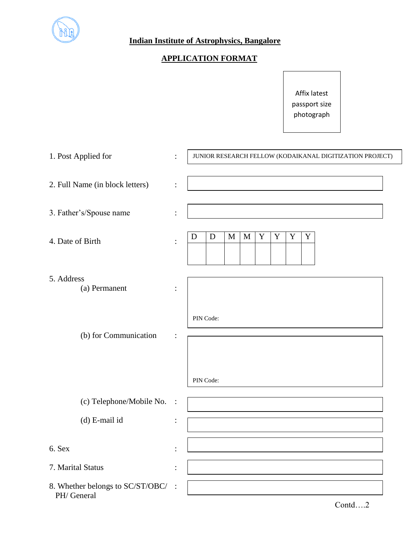

### **Indian Institute of Astrophysics, Bangalore**

# **APPLICATION FORMAT**

Affix latest passport size photograph

| 1. Post Applied for                             | $\ddot{\cdot}$ | JUNIOR RESEARCH FELLOW (KODAIKANAL DIGITIZATION PROJECT)           |  |  |  |  |  |
|-------------------------------------------------|----------------|--------------------------------------------------------------------|--|--|--|--|--|
| 2. Full Name (in block letters)                 | $\vdots$       |                                                                    |  |  |  |  |  |
| 3. Father's/Spouse name                         | $\ddot{\cdot}$ |                                                                    |  |  |  |  |  |
| 4. Date of Birth                                |                | $\mathbf Y$<br>$\mathbf Y$<br>$\mathbf Y$<br>D<br>M<br>Y<br>D<br>M |  |  |  |  |  |
| 5. Address<br>(a) Permanent                     |                |                                                                    |  |  |  |  |  |
| (b) for Communication                           | PIN Code:      |                                                                    |  |  |  |  |  |
|                                                 |                | PIN Code:                                                          |  |  |  |  |  |
| (c) Telephone/Mobile No.                        | $\ddot{\cdot}$ |                                                                    |  |  |  |  |  |
| (d) E-mail id                                   | $\ddot{\cdot}$ |                                                                    |  |  |  |  |  |
| 6. Sex                                          |                |                                                                    |  |  |  |  |  |
| 7. Marital Status                               |                |                                                                    |  |  |  |  |  |
| 8. Whether belongs to SC/ST/OBC/<br>PH/ General |                |                                                                    |  |  |  |  |  |